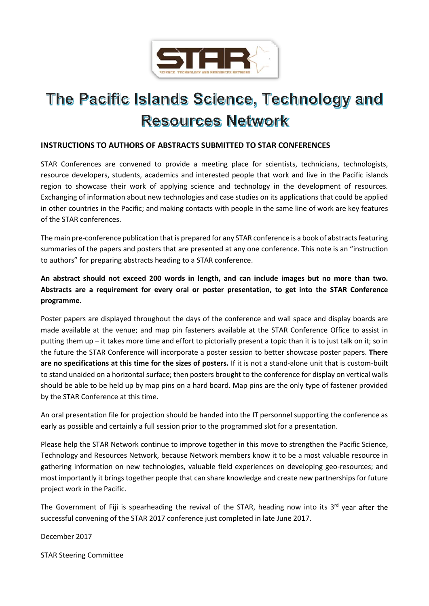

# The Pacific Islands Science, Technology and **Resources Network**

### **INSTRUCTIONS TO AUTHORS OF ABSTRACTS SUBMITTED TO STAR CONFERENCES**

STAR Conferences are convened to provide a meeting place for scientists, technicians, technologists, resource developers, students, academics and interested people that work and live in the Pacific islands region to showcase their work of applying science and technology in the development of resources. Exchanging of information about new technologies and case studies on its applications that could be applied in other countries in the Pacific; and making contacts with people in the same line of work are key features of the STAR conferences.

The main pre-conference publication that is prepared for any STAR conference is a book of abstracts featuring summaries of the papers and posters that are presented at any one conference. This note is an "instruction to authors" for preparing abstracts heading to a STAR conference.

# **An abstract should not exceed 200 words in length, and can include images but no more than two. Abstracts are a requirement for every oral or poster presentation, to get into the STAR Conference programme.**

Poster papers are displayed throughout the days of the conference and wall space and display boards are made available at the venue; and map pin fasteners available at the STAR Conference Office to assist in putting them up – it takes more time and effort to pictorially present a topic than it is to just talk on it; so in the future the STAR Conference will incorporate a poster session to better showcase poster papers. **There are no specifications at this time for the sizes of posters.** If it is not a stand-alone unit that is custom-built to stand unaided on a horizontal surface; then posters brought to the conference for display on vertical walls should be able to be held up by map pins on a hard board. Map pins are the only type of fastener provided by the STAR Conference at this time.

An oral presentation file for projection should be handed into the IT personnel supporting the conference as early as possible and certainly a full session prior to the programmed slot for a presentation.

Please help the STAR Network continue to improve together in this move to strengthen the Pacific Science, Technology and Resources Network, because Network members know it to be a most valuable resource in gathering information on new technologies, valuable field experiences on developing geo-resources; and most importantly it brings together people that can share knowledge and create new partnerships for future project work in the Pacific.

The Government of Fiji is spearheading the revival of the STAR, heading now into its  $3^{rd}$  year after the successful convening of the STAR 2017 conference just completed in late June 2017.

December 2017

STAR Steering Committee